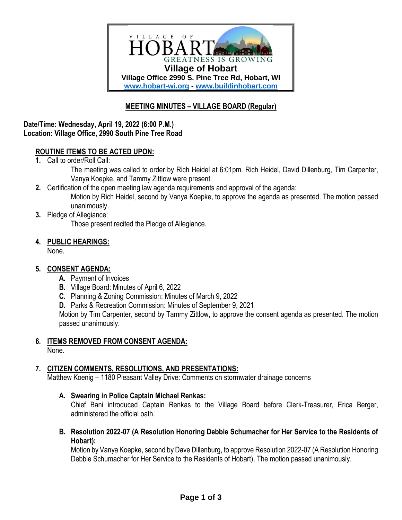

# **MEETING MINUTES – VILLAGE BOARD (Regular)**

### **Date/Time: Wednesday, April 19, 2022 (6:00 P.M.) Location: Village Office, 2990 South Pine Tree Road**

### **ROUTINE ITEMS TO BE ACTED UPON:**

**1.** Call to order/Roll Call:

The meeting was called to order by Rich Heidel at 6:01pm. Rich Heidel, David Dillenburg, Tim Carpenter, Vanya Koepke, and Tammy Zittlow were present.

- **2.** Certification of the open meeting law agenda requirements and approval of the agenda: Motion by Rich Heidel, second by Vanya Koepke, to approve the agenda as presented. The motion passed unanimously.
- **3.** Pledge of Allegiance:

Those present recited the Pledge of Allegiance.

**4. PUBLIC HEARINGS:**

None.

### **5. CONSENT AGENDA:**

- **A.** Payment of Invoices
- **B.** Village Board: Minutes of April 6, 2022
- **C.** Planning & Zoning Commission: Minutes of March 9, 2022
- **D.** Parks & Recreation Commission: Minutes of September 9, 2021

Motion by Tim Carpenter, second by Tammy Zittlow, to approve the consent agenda as presented. The motion passed unanimously.

### **6. ITEMS REMOVED FROM CONSENT AGENDA:**

None.

# **7. CITIZEN COMMENTS, RESOLUTIONS, AND PRESENTATIONS:**

Matthew Koenig – 1180 Pleasant Valley Drive: Comments on stormwater drainage concerns

### **A. Swearing in Police Captain Michael Renkas:**

Chief Bani introduced Captain Renkas to the Village Board before Clerk-Treasurer, Erica Berger, administered the official oath.

**B. Resolution 2022-07 (A Resolution Honoring Debbie Schumacher for Her Service to the Residents of Hobart):**

Motion by Vanya Koepke, second by Dave Dillenburg, to approve Resolution 2022-07 (A Resolution Honoring Debbie Schumacher for Her Service to the Residents of Hobart). The motion passed unanimously.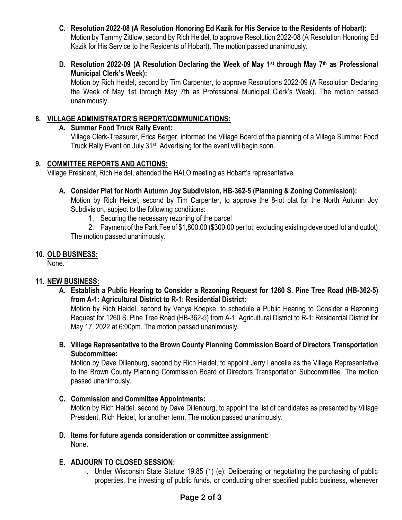- **C. Resolution 2022-08 (A Resolution Honoring Ed Kazik for His Service to the Residents of Hobart):** Motion by Tammy Zittlow, second by Rich Heidel, to approve Resolution 2022-08 (A Resolution Honoring Ed Kazik for His Service to the Residents of Hobart). The motion passed unanimously.
- **D. Resolution 2022-09 (A Resolution Declaring the Week of May 1st through May 7th as Professional Municipal Clerk's Week):**

Motion by Rich Heidel, second by Tim Carpenter, to approve Resolutions 2022-09 (A Resolution Declaring the Week of May 1st through May 7th as Professional Municipal Clerk's Week). The motion passed unanimously.

### **8. VILLAGE ADMINISTRATOR'S REPORT/COMMUNICATIONS:**

### **A. Summer Food Truck Rally Event:**

Village Clerk-Treasurer, Erica Berger, informed the Village Board of the planning of a Village Summer Food Truck Rally Event on July 31st. Advertising for the event will begin soon.

### **9. COMMITTEE REPORTS AND ACTIONS:**

Village President, Rich Heidel, attended the HALO meeting as Hobart's representative.

### **A. Consider Plat for North Autumn Joy Subdivision, HB-362-5 (Planning & Zoning Commission):**

Motion by Rich Heidel, second by Tim Carpenter, to approve the 8-lot plat for the North Autumn Joy Subdivision, subject to the following conditions:

1. Securing the necessary rezoning of the parcel

2. Payment of the Park Fee of \$1,800.00 (\$300.00 per lot, excluding existing developed lot and outlot) The motion passed unanimously.

# **10. OLD BUSINESS:**

None.

# **11. NEW BUSINESS:**

**A. Establish a Public Hearing to Consider a Rezoning Request for 1260 S. Pine Tree Road (HB-362-5) from A-1: Agricultural District to R-1: Residential District:**

Motion by Rich Heidel, second by Vanya Koepke, to schedule a Public Hearing to Consider a Rezoning Request for 1260 S. Pine Tree Road (HB-362-5) from A-1: Agricultural District to R-1: Residential District for May 17, 2022 at 6:00pm. The motion passed unanimously.

**B. Village Representative to the Brown County Planning Commission Board of Directors Transportation Subcommittee:** 

Motion by Dave Dillenburg, second by Rich Heidel, to appoint Jerry Lancelle as the Village Representative to the Brown County Planning Commission Board of Directors Transportation Subcommittee. The motion passed unanimously.

### **C. Commission and Committee Appointments:**

Motion by Rich Heidel, second by Dave Dillenburg, to appoint the list of candidates as presented by Village President, Rich Heidel, for another term. The motion passed unanimously.

**D. Items for future agenda consideration or committee assignment:** None.

# **E. ADJOURN TO CLOSED SESSION:**

i. Under Wisconsin State Statute 19.85 (1) (e): Deliberating or negotiating the purchasing of public properties, the investing of public funds, or conducting other specified public business, whenever